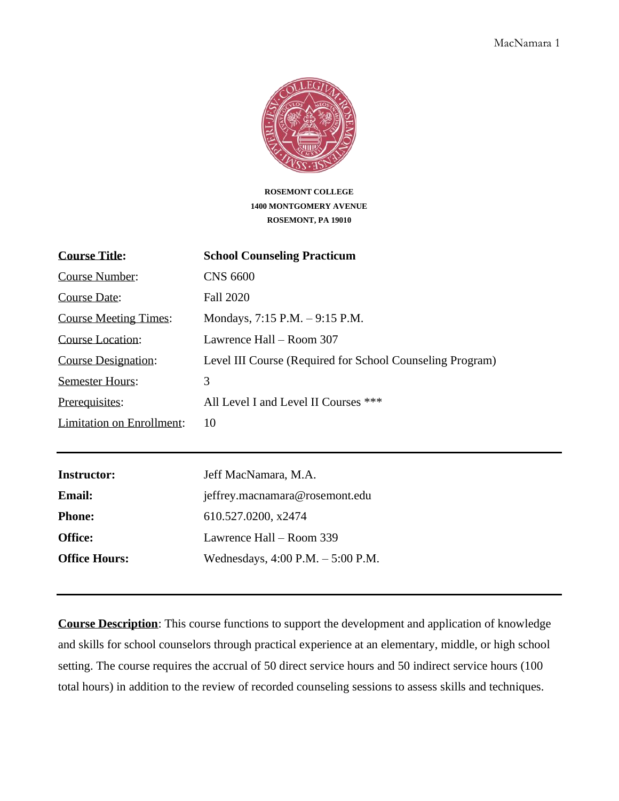

**ROSEMONT COLLEGE 1400 MONTGOMERY AVENUE ROSEMONT, PA 19010**

| <b>Course Title:</b>         | <b>School Counseling Practicum</b>                        |
|------------------------------|-----------------------------------------------------------|
| Course Number:               | <b>CNS 6600</b>                                           |
| Course Date:                 | Fall 2020                                                 |
| <b>Course Meeting Times:</b> | Mondays, $7:15$ P.M. $-9:15$ P.M.                         |
| Course Location:             | Lawrence Hall – Room 307                                  |
| <b>Course Designation:</b>   | Level III Course (Required for School Counseling Program) |
| <b>Semester Hours:</b>       | 3                                                         |
| Prerequisites:               | All Level I and Level II Courses ***                      |
| Limitation on Enrollment:    | 10                                                        |

| <b>Instructor:</b>   | Jeff MacNamara, M.A.                 |  |
|----------------------|--------------------------------------|--|
| <b>Email:</b>        | jeffrey.macnamara@rosemont.edu       |  |
| <b>Phone:</b>        | 610.527.0200, x2474                  |  |
| <b>Office:</b>       | Lawrence Hall – Room 339             |  |
| <b>Office Hours:</b> | Wednesdays, $4:00$ P.M. $-5:00$ P.M. |  |

**Course Description**: This course functions to support the development and application of knowledge and skills for school counselors through practical experience at an elementary, middle, or high school setting. The course requires the accrual of 50 direct service hours and 50 indirect service hours (100 total hours) in addition to the review of recorded counseling sessions to assess skills and techniques.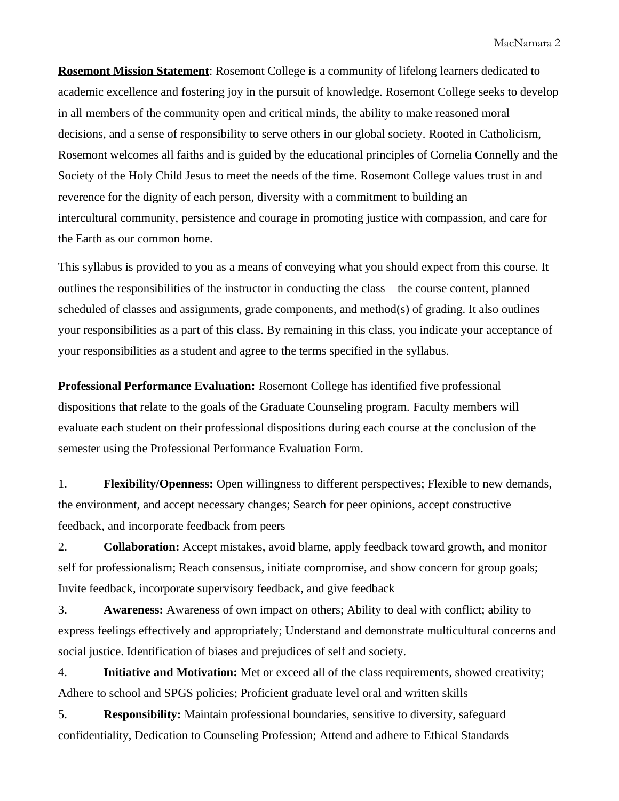**Rosemont Mission Statement**: Rosemont College is a community of lifelong learners dedicated to academic excellence and fostering joy in the pursuit of knowledge. Rosemont College seeks to develop in all members of the community open and critical minds, the ability to make reasoned moral decisions, and a sense of responsibility to serve others in our global society. Rooted in Catholicism, Rosemont welcomes all faiths and is guided by the educational principles of Cornelia Connelly and the Society of the Holy Child Jesus to meet the needs of the time. Rosemont College values trust in and reverence for the dignity of each person, diversity with a commitment to building an intercultural community, persistence and courage in promoting justice with compassion, and care for the Earth as our common home.

This syllabus is provided to you as a means of conveying what you should expect from this course. It outlines the responsibilities of the instructor in conducting the class – the course content, planned scheduled of classes and assignments, grade components, and method(s) of grading. It also outlines your responsibilities as a part of this class. By remaining in this class, you indicate your acceptance of your responsibilities as a student and agree to the terms specified in the syllabus.

**Professional Performance Evaluation:** Rosemont College has identified five professional dispositions that relate to the goals of the Graduate Counseling program. Faculty members will evaluate each student on their professional dispositions during each course at the conclusion of the semester using the Professional Performance Evaluation Form.

1. **Flexibility/Openness:** Open willingness to different perspectives; Flexible to new demands, the environment, and accept necessary changes; Search for peer opinions, accept constructive feedback, and incorporate feedback from peers

2. **Collaboration:** Accept mistakes, avoid blame, apply feedback toward growth, and monitor self for professionalism; Reach consensus, initiate compromise, and show concern for group goals; Invite feedback, incorporate supervisory feedback, and give feedback

3. **Awareness:** Awareness of own impact on others; Ability to deal with conflict; ability to express feelings effectively and appropriately; Understand and demonstrate multicultural concerns and social justice. Identification of biases and prejudices of self and society.

4. **Initiative and Motivation:** Met or exceed all of the class requirements, showed creativity; Adhere to school and SPGS policies; Proficient graduate level oral and written skills

5. **Responsibility:** Maintain professional boundaries, sensitive to diversity, safeguard confidentiality, Dedication to Counseling Profession; Attend and adhere to Ethical Standards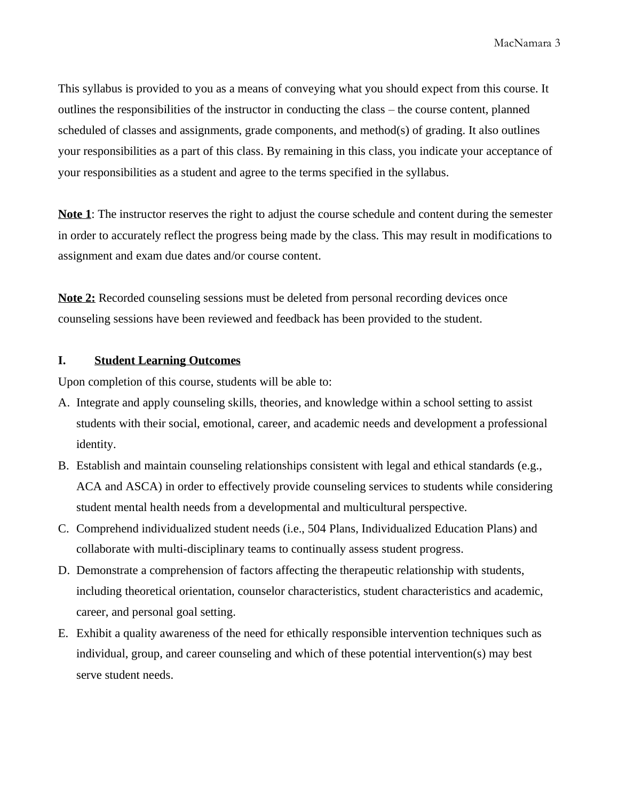This syllabus is provided to you as a means of conveying what you should expect from this course. It outlines the responsibilities of the instructor in conducting the class – the course content, planned scheduled of classes and assignments, grade components, and method(s) of grading. It also outlines your responsibilities as a part of this class. By remaining in this class, you indicate your acceptance of your responsibilities as a student and agree to the terms specified in the syllabus.

**Note 1**: The instructor reserves the right to adjust the course schedule and content during the semester in order to accurately reflect the progress being made by the class. This may result in modifications to assignment and exam due dates and/or course content.

**Note 2:** Recorded counseling sessions must be deleted from personal recording devices once counseling sessions have been reviewed and feedback has been provided to the student.

#### **I. Student Learning Outcomes**

Upon completion of this course, students will be able to:

- A. Integrate and apply counseling skills, theories, and knowledge within a school setting to assist students with their social, emotional, career, and academic needs and development a professional identity.
- B. Establish and maintain counseling relationships consistent with legal and ethical standards (e.g., ACA and ASCA) in order to effectively provide counseling services to students while considering student mental health needs from a developmental and multicultural perspective.
- C. Comprehend individualized student needs (i.e., 504 Plans, Individualized Education Plans) and collaborate with multi-disciplinary teams to continually assess student progress.
- D. Demonstrate a comprehension of factors affecting the therapeutic relationship with students, including theoretical orientation, counselor characteristics, student characteristics and academic, career, and personal goal setting.
- E. Exhibit a quality awareness of the need for ethically responsible intervention techniques such as individual, group, and career counseling and which of these potential intervention(s) may best serve student needs.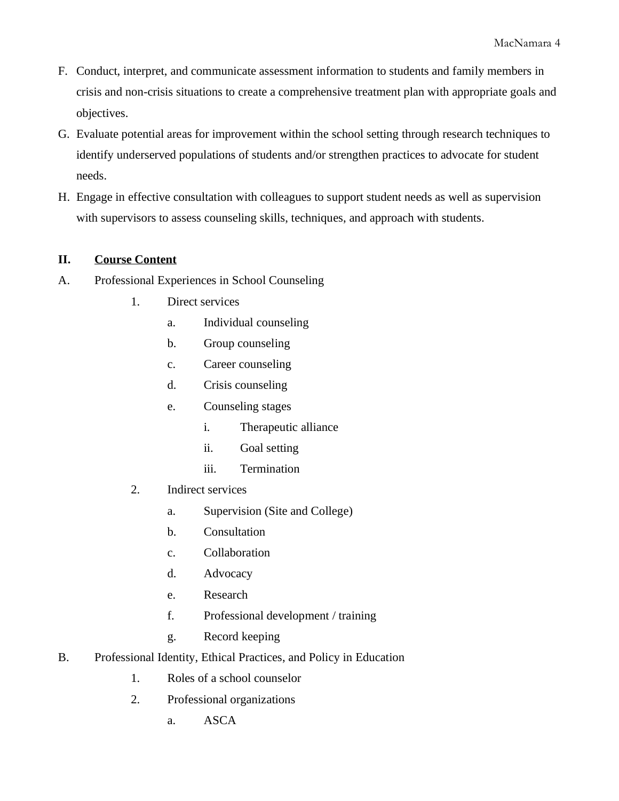- F. Conduct, interpret, and communicate assessment information to students and family members in crisis and non-crisis situations to create a comprehensive treatment plan with appropriate goals and objectives.
- G. Evaluate potential areas for improvement within the school setting through research techniques to identify underserved populations of students and/or strengthen practices to advocate for student needs.
- H. Engage in effective consultation with colleagues to support student needs as well as supervision with supervisors to assess counseling skills, techniques, and approach with students.

# **II. Course Content**

- A. Professional Experiences in School Counseling
	- 1. Direct services
		- a. Individual counseling
		- b. Group counseling
		- c. Career counseling
		- d. Crisis counseling
		- e. Counseling stages
			- i. Therapeutic alliance
			- ii. Goal setting
			- iii. Termination
	- 2. Indirect services
		- a. Supervision (Site and College)
		- b. Consultation
		- c. Collaboration
		- d. Advocacy
		- e. Research
		- f. Professional development / training
		- g. Record keeping
- B. Professional Identity, Ethical Practices, and Policy in Education
	- 1. Roles of a school counselor
	- 2. Professional organizations
		- a. ASCA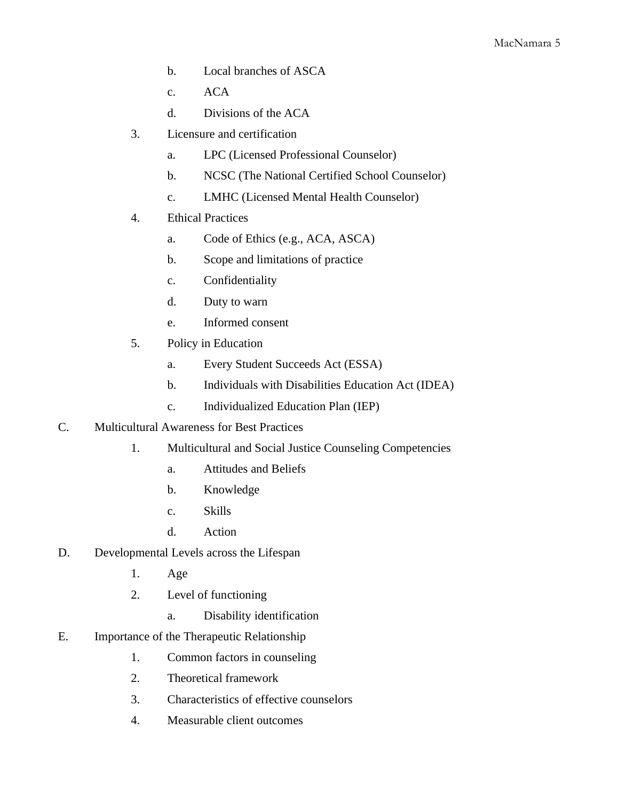- b. Local branches of ASCA
- c. ACA
- d. Divisions of the ACA
- 3. Licensure and certification
	- a. LPC (Licensed Professional Counselor)
	- b. NCSC (The National Certified School Counselor)
	- c. LMHC (Licensed Mental Health Counselor)
- 4. Ethical Practices
	- a. Code of Ethics (e.g., ACA, ASCA)
	- b. Scope and limitations of practice
	- c. Confidentiality
	- d. Duty to warn
	- e. Informed consent
- 5. Policy in Education
	- a. Every Student Succeeds Act (ESSA)
	- b. Individuals with Disabilities Education Act (IDEA)
	- c. Individualized Education Plan (IEP)
- C. Multicultural Awareness for Best Practices
	- 1. Multicultural and Social Justice Counseling Competencies
		- a. Attitudes and Beliefs
		- b. Knowledge
		- c. Skills
		- d. Action
- D. Developmental Levels across the Lifespan
	- 1. Age
	- 2. Level of functioning
		- a. Disability identification
- E. Importance of the Therapeutic Relationship
	- 1. Common factors in counseling
	- 2. Theoretical framework
	- 3. Characteristics of effective counselors
	- 4. Measurable client outcomes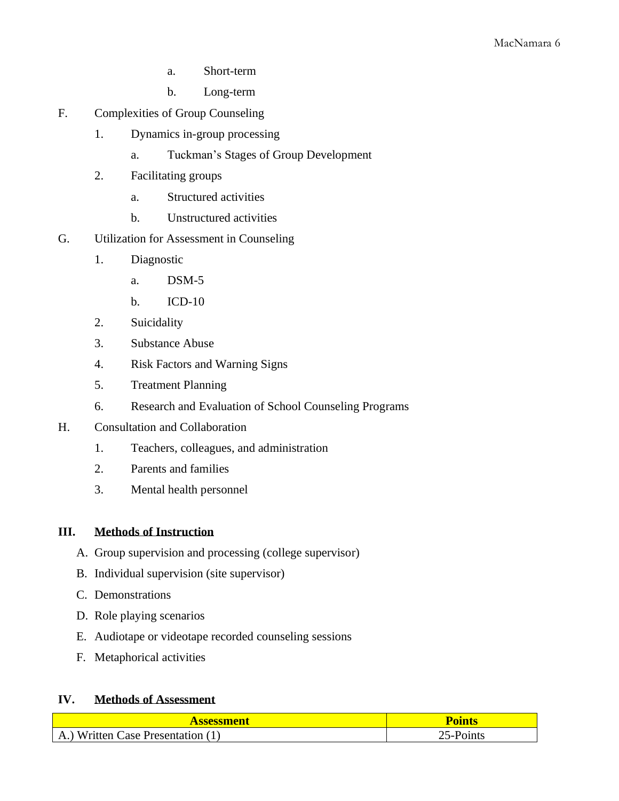- a. Short-term
- b. Long-term
- F. Complexities of Group Counseling
	- 1. Dynamics in-group processing
		- a. Tuckman's Stages of Group Development
	- 2. Facilitating groups
		- a. Structured activities
		- b. Unstructured activities
- G. Utilization for Assessment in Counseling
	- 1. Diagnostic
		- a. DSM-5
		- b. ICD-10
	- 2. Suicidality
	- 3. Substance Abuse
	- 4. Risk Factors and Warning Signs
	- 5. Treatment Planning
	- 6. Research and Evaluation of School Counseling Programs
- H. Consultation and Collaboration
	- 1. Teachers, colleagues, and administration
	- 2. Parents and families
	- 3. Mental health personnel

# **III. Methods of Instruction**

- A. Group supervision and processing (college supervisor)
- B. Individual supervision (site supervisor)
- C. Demonstrations
- D. Role playing scenarios
- E. Audiotape or videotape recorded counseling sessions
- F. Metaphorical activities

# **IV. Methods of Assessment**

| Assessment                                  | <b>Points</b> |
|---------------------------------------------|---------------|
| .) Written Case Presentation (T<br>$\Delta$ | วเnts<br>ר -  |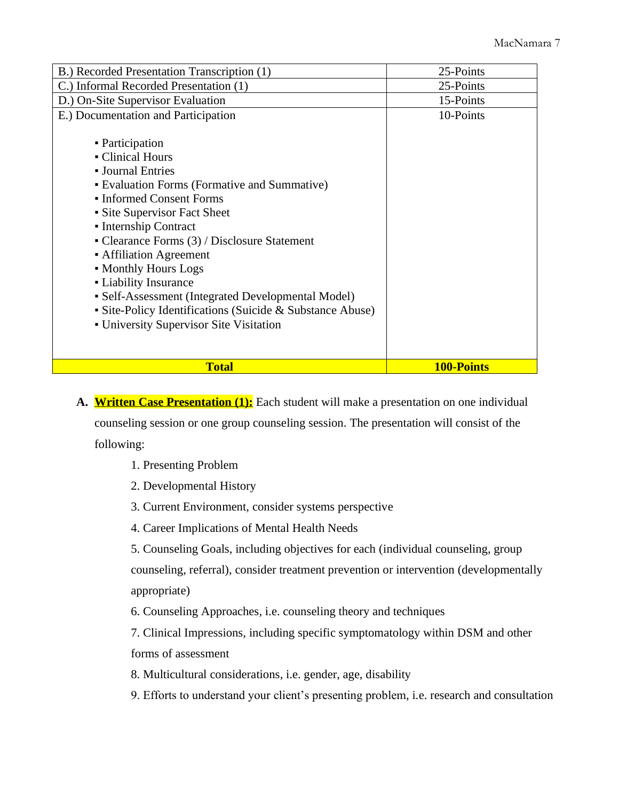| B.) Recorded Presentation Transcription (1)               | 25-Points  |
|-----------------------------------------------------------|------------|
| C.) Informal Recorded Presentation (1)                    | 25-Points  |
| D.) On-Site Supervisor Evaluation                         | 15-Points  |
| E.) Documentation and Participation                       | 10-Points  |
| • Participation                                           |            |
| • Clinical Hours                                          |            |
| • Journal Entries                                         |            |
| • Evaluation Forms (Formative and Summative)              |            |
| • Informed Consent Forms                                  |            |
| • Site Supervisor Fact Sheet                              |            |
| • Internship Contract                                     |            |
| • Clearance Forms $(3)$ / Disclosure Statement            |            |
| • Affiliation Agreement                                   |            |
| • Monthly Hours Logs                                      |            |
| • Liability Insurance                                     |            |
| • Self-Assessment (Integrated Developmental Model)        |            |
| • Site-Policy Identifications (Suicide & Substance Abuse) |            |
| - University Supervisor Site Visitation                   |            |
|                                                           |            |
| <b>Total</b>                                              | 100-Points |

- A. **Written Case Presentation (1):** Each student will make a presentation on one individual counseling session or one group counseling session. The presentation will consist of the following:
	- 1. Presenting Problem
	- 2. Developmental History
	- 3. Current Environment, consider systems perspective
	- 4. Career Implications of Mental Health Needs

5. Counseling Goals, including objectives for each (individual counseling, group counseling, referral), consider treatment prevention or intervention (developmentally appropriate)

6. Counseling Approaches, i.e. counseling theory and techniques

7. Clinical Impressions, including specific symptomatology within DSM and other forms of assessment

- 8. Multicultural considerations, i.e. gender, age, disability
- 9. Efforts to understand your client's presenting problem, i.e. research and consultation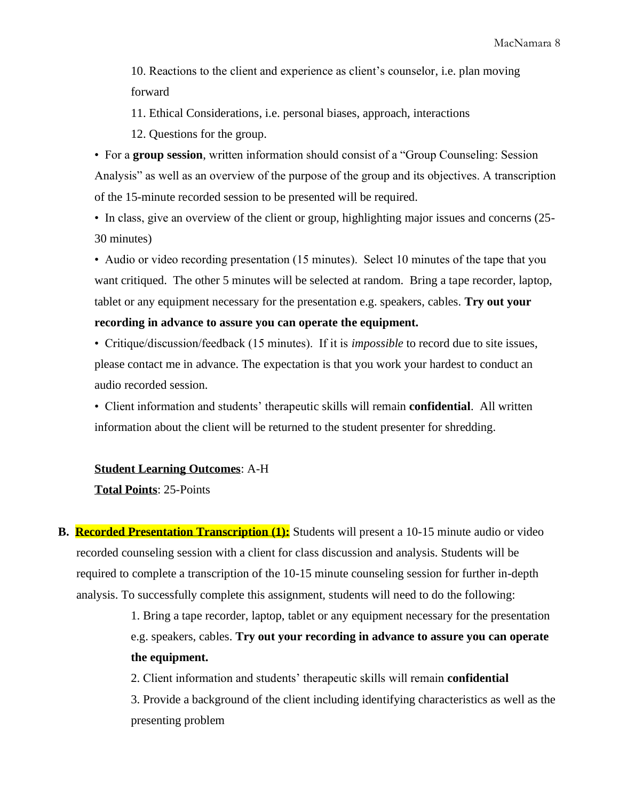10. Reactions to the client and experience as client's counselor, i.e. plan moving forward

11. Ethical Considerations, i.e. personal biases, approach, interactions

12. Questions for the group.

• For a **group session**, written information should consist of a "Group Counseling: Session Analysis" as well as an overview of the purpose of the group and its objectives. A transcription of the 15-minute recorded session to be presented will be required.

• In class, give an overview of the client or group, highlighting major issues and concerns (25- 30 minutes)

• Audio or video recording presentation (15 minutes). Select 10 minutes of the tape that you want critiqued. The other 5 minutes will be selected at random. Bring a tape recorder, laptop, tablet or any equipment necessary for the presentation e.g. speakers, cables. **Try out your recording in advance to assure you can operate the equipment.**

• Critique/discussion/feedback (15 minutes). If it is *impossible* to record due to site issues, please contact me in advance. The expectation is that you work your hardest to conduct an audio recorded session.

• Client information and students' therapeutic skills will remain **confidential**. All written information about the client will be returned to the student presenter for shredding.

**Student Learning Outcomes**: A-H **Total Points**: 25-Points

**B. Recorded Presentation Transcription (1):** Students will present a 10-15 minute audio or video recorded counseling session with a client for class discussion and analysis. Students will be required to complete a transcription of the 10-15 minute counseling session for further in-depth analysis. To successfully complete this assignment, students will need to do the following:

> 1. Bring a tape recorder, laptop, tablet or any equipment necessary for the presentation e.g. speakers, cables. **Try out your recording in advance to assure you can operate the equipment.**

2. Client information and students' therapeutic skills will remain **confidential** 3. Provide a background of the client including identifying characteristics as well as the presenting problem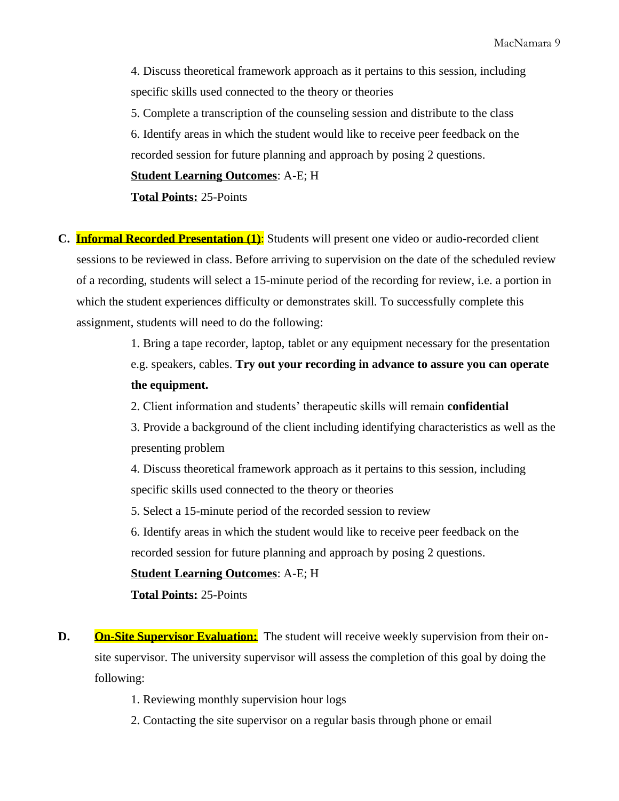4. Discuss theoretical framework approach as it pertains to this session, including specific skills used connected to the theory or theories

5. Complete a transcription of the counseling session and distribute to the class

6. Identify areas in which the student would like to receive peer feedback on the recorded session for future planning and approach by posing 2 questions.

**Student Learning Outcomes**: A-E; H

**Total Points:** 25-Points

**C. Informal Recorded Presentation (1)**: Students will present one video or audio-recorded client sessions to be reviewed in class. Before arriving to supervision on the date of the scheduled review of a recording, students will select a 15-minute period of the recording for review, i.e. a portion in which the student experiences difficulty or demonstrates skill. To successfully complete this assignment, students will need to do the following:

> 1. Bring a tape recorder, laptop, tablet or any equipment necessary for the presentation e.g. speakers, cables. **Try out your recording in advance to assure you can operate the equipment.**

2. Client information and students' therapeutic skills will remain **confidential**

3. Provide a background of the client including identifying characteristics as well as the presenting problem

4. Discuss theoretical framework approach as it pertains to this session, including specific skills used connected to the theory or theories

5. Select a 15-minute period of the recorded session to review

6. Identify areas in which the student would like to receive peer feedback on the recorded session for future planning and approach by posing 2 questions.

#### **Student Learning Outcomes**: A-E; H

**Total Points:** 25-Points

- **D.** On-Site Supervisor Evaluation: The student will receive weekly supervision from their onsite supervisor. The university supervisor will assess the completion of this goal by doing the following:
	- 1. Reviewing monthly supervision hour logs
	- 2. Contacting the site supervisor on a regular basis through phone or email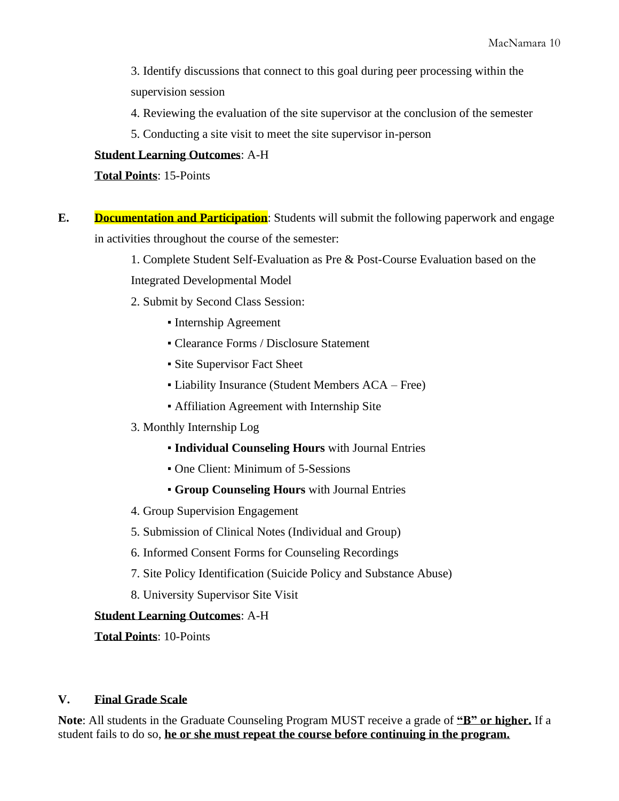3. Identify discussions that connect to this goal during peer processing within the supervision session

4. Reviewing the evaluation of the site supervisor at the conclusion of the semester

5. Conducting a site visit to meet the site supervisor in-person

#### **Student Learning Outcomes**: A-H

**Total Points**: 15-Points

**E. Documentation and Participation**: Students will submit the following paperwork and engage in activities throughout the course of the semester:

> 1. Complete Student Self-Evaluation as Pre & Post-Course Evaluation based on the Integrated Developmental Model

2. Submit by Second Class Session:

- Internship Agreement
- Clearance Forms / Disclosure Statement
- Site Supervisor Fact Sheet
- Liability Insurance (Student Members ACA Free)
- Affiliation Agreement with Internship Site
- 3. Monthly Internship Log
	- **Individual Counseling Hours** with Journal Entries
	- One Client: Minimum of 5-Sessions
	- **Group Counseling Hours** with Journal Entries
- 4. Group Supervision Engagement
- 5. Submission of Clinical Notes (Individual and Group)
- 6. Informed Consent Forms for Counseling Recordings
- 7. Site Policy Identification (Suicide Policy and Substance Abuse)
- 8. University Supervisor Site Visit

#### **Student Learning Outcomes**: A-H

**Total Points**: 10-Points

### **V. Final Grade Scale**

**Note**: All students in the Graduate Counseling Program MUST receive a grade of **"B" or higher.** If a student fails to do so, **he or she must repeat the course before continuing in the program.**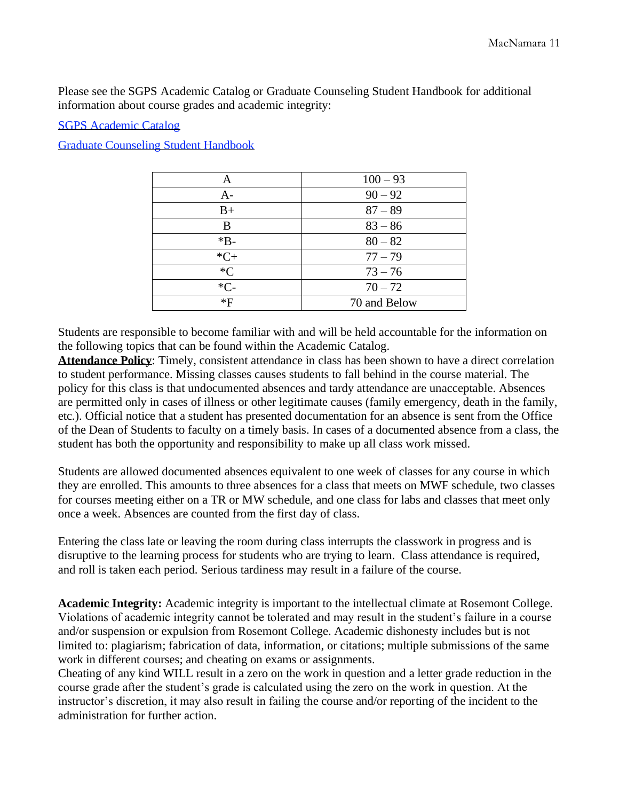Please see the SGPS Academic Catalog or Graduate Counseling Student Handbook for additional information about course grades and academic integrity:

[SGPS Academic Catalog](file:///C:/Users/patrick.rowley/Desktop/2018-2019%20Academic%20Catalog.pdf)

[Graduate Counseling Student Handbook](file:///C:/Users/patrick.rowley/Desktop/Student%20Handbook%202018-2019.docx)

| Α      | $100 - 93$   |  |
|--------|--------------|--|
| $A-$   | $90 - 92$    |  |
| $B+$   | $87 - 89$    |  |
| B      | $83 - 86$    |  |
| $*B-$  | $80 - 82$    |  |
| $*C+$  | $77 - 79$    |  |
| $C^*C$ | $73 - 76$    |  |
| $*C-$  | $70 - 72$    |  |
| *F     | 70 and Below |  |

Students are responsible to become familiar with and will be held accountable for the information on the following topics that can be found within the Academic Catalog.

**Attendance Policy**: Timely, consistent attendance in class has been shown to have a direct correlation to student performance. Missing classes causes students to fall behind in the course material. The policy for this class is that undocumented absences and tardy attendance are unacceptable. Absences are permitted only in cases of illness or other legitimate causes (family emergency, death in the family, etc.). Official notice that a student has presented documentation for an absence is sent from the Office of the Dean of Students to faculty on a timely basis. In cases of a documented absence from a class, the student has both the opportunity and responsibility to make up all class work missed.

Students are allowed documented absences equivalent to one week of classes for any course in which they are enrolled. This amounts to three absences for a class that meets on MWF schedule, two classes for courses meeting either on a TR or MW schedule, and one class for labs and classes that meet only once a week. Absences are counted from the first day of class.

Entering the class late or leaving the room during class interrupts the classwork in progress and is disruptive to the learning process for students who are trying to learn. Class attendance is required, and roll is taken each period. Serious tardiness may result in a failure of the course.

**Academic Integrity:** Academic integrity is important to the intellectual climate at Rosemont College. Violations of academic integrity cannot be tolerated and may result in the student's failure in a course and/or suspension or expulsion from Rosemont College. Academic dishonesty includes but is not limited to: plagiarism; fabrication of data, information, or citations; multiple submissions of the same work in different courses; and cheating on exams or assignments.

Cheating of any kind WILL result in a zero on the work in question and a letter grade reduction in the course grade after the student's grade is calculated using the zero on the work in question. At the instructor's discretion, it may also result in failing the course and/or reporting of the incident to the administration for further action.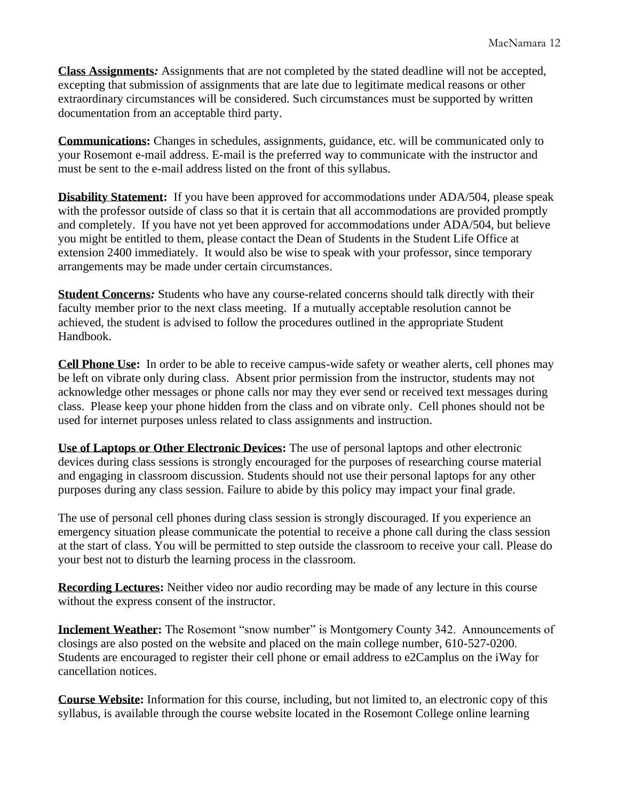**Class Assignments***:* Assignments that are not completed by the stated deadline will not be accepted, excepting that submission of assignments that are late due to legitimate medical reasons or other extraordinary circumstances will be considered. Such circumstances must be supported by written documentation from an acceptable third party.

**Communications:** Changes in schedules, assignments, guidance, etc. will be communicated only to your Rosemont e-mail address. E-mail is the preferred way to communicate with the instructor and must be sent to the e-mail address listed on the front of this syllabus.

**Disability Statement:** If you have been approved for accommodations under ADA/504, please speak with the professor outside of class so that it is certain that all accommodations are provided promptly and completely. If you have not yet been approved for accommodations under ADA/504, but believe you might be entitled to them, please contact the Dean of Students in the Student Life Office at extension 2400 immediately. It would also be wise to speak with your professor, since temporary arrangements may be made under certain circumstances.

**Student Concerns***:* Students who have any course-related concerns should talk directly with their faculty member prior to the next class meeting. If a mutually acceptable resolution cannot be achieved, the student is advised to follow the procedures outlined in the appropriate Student Handbook.

**Cell Phone Use:** In order to be able to receive campus-wide safety or weather alerts, cell phones may be left on vibrate only during class. Absent prior permission from the instructor, students may not acknowledge other messages or phone calls nor may they ever send or received text messages during class. Please keep your phone hidden from the class and on vibrate only. Cell phones should not be used for internet purposes unless related to class assignments and instruction.

**Use of Laptops or Other Electronic Devices:** The use of personal laptops and other electronic devices during class sessions is strongly encouraged for the purposes of researching course material and engaging in classroom discussion. Students should not use their personal laptops for any other purposes during any class session. Failure to abide by this policy may impact your final grade.

The use of personal cell phones during class session is strongly discouraged. If you experience an emergency situation please communicate the potential to receive a phone call during the class session at the start of class. You will be permitted to step outside the classroom to receive your call. Please do your best not to disturb the learning process in the classroom.

**Recording Lectures:** Neither video nor audio recording may be made of any lecture in this course without the express consent of the instructor.

**Inclement Weather:** The Rosemont "snow number" is Montgomery County 342. Announcements of closings are also posted on the website and placed on the main college number, 610-527-0200. Students are encouraged to register their cell phone or email address to e2Camplus on the iWay for cancellation notices.

**Course Website:** Information for this course, including, but not limited to, an electronic copy of this syllabus, is available through the course website located in the Rosemont College online learning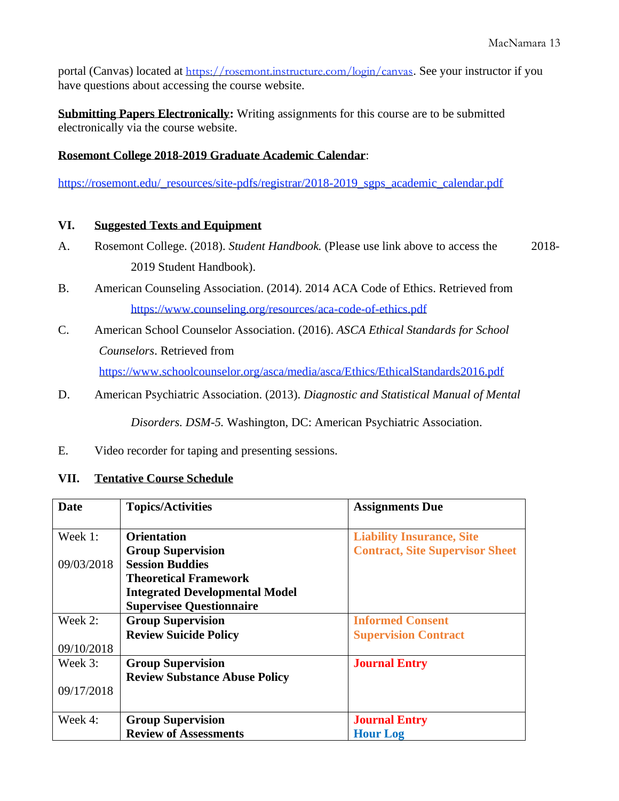portal (Canvas) located at <https://rosemont.instructure.com/login/canvas>. See your instructor if you have questions about accessing the course website.

**Submitting Papers Electronically:** Writing assignments for this course are to be submitted electronically via the course website.

# **Rosemont College 2018-2019 Graduate Academic Calendar**:

[https://rosemont.edu/\\_resources/site-pdfs/registrar/2018-2019\\_sgps\\_academic\\_calendar.pdf](https://rosemont.edu/_resources/site-pdfs/registrar/2018-2019_sgps_academic_calendar.pdf)

### **VI. Suggested Texts and Equipment**

- A. Rosemont College. (2018). *Student Handbook.* (Please use link above to access the 2018- 2019 Student Handbook).
- B. American Counseling Association. (2014). 2014 ACA Code of Ethics. Retrieved from <https://www.counseling.org/resources/aca-code-of-ethics.pdf>
- C. American School Counselor Association. (2016). *ASCA Ethical Standards for School Counselors*. Retrieved from <https://www.schoolcounselor.org/asca/media/asca/Ethics/EthicalStandards2016.pdf>
- D. American Psychiatric Association. (2013). *Diagnostic and Statistical Manual of Mental*

*Disorders. DSM-5.* Washington, DC: American Psychiatric Association.

E. Video recorder for taping and presenting sessions.

### **VII. Tentative Course Schedule**

| Date       | <b>Topics/Activities</b>              | <b>Assignments Due</b>                 |
|------------|---------------------------------------|----------------------------------------|
|            |                                       |                                        |
| Week 1:    | <b>Orientation</b>                    | <b>Liability Insurance, Site</b>       |
|            | <b>Group Supervision</b>              | <b>Contract, Site Supervisor Sheet</b> |
| 09/03/2018 | <b>Session Buddies</b>                |                                        |
|            | <b>Theoretical Framework</b>          |                                        |
|            | <b>Integrated Developmental Model</b> |                                        |
|            | <b>Supervisee Questionnaire</b>       |                                        |
| Week 2:    | <b>Group Supervision</b>              | <b>Informed Consent</b>                |
|            | <b>Review Suicide Policy</b>          | <b>Supervision Contract</b>            |
| 09/10/2018 |                                       |                                        |
| Week 3:    | <b>Group Supervision</b>              | <b>Journal Entry</b>                   |
|            | <b>Review Substance Abuse Policy</b>  |                                        |
| 09/17/2018 |                                       |                                        |
|            |                                       |                                        |
| Week 4:    | <b>Group Supervision</b>              | <b>Journal Entry</b>                   |
|            | <b>Review of Assessments</b>          | <b>Hour Log</b>                        |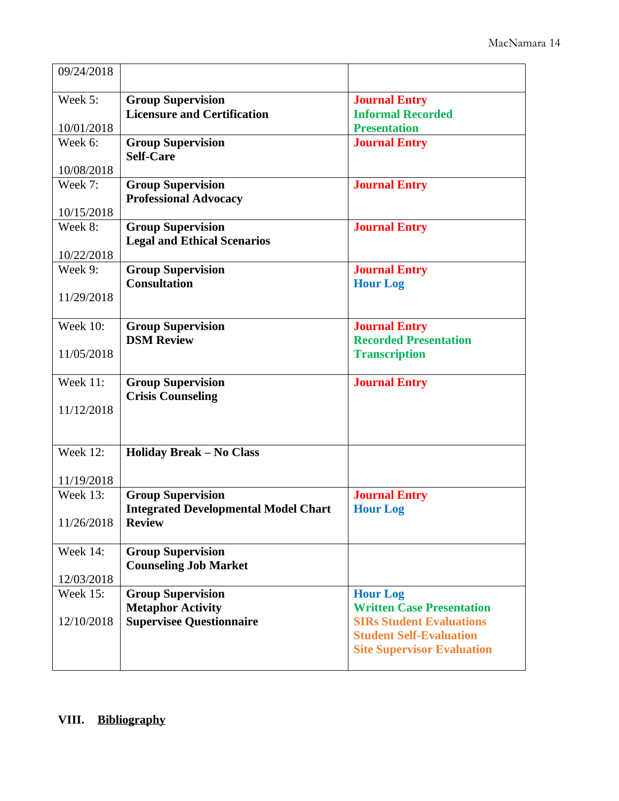| 09/24/2018      |                                                             |                                                     |
|-----------------|-------------------------------------------------------------|-----------------------------------------------------|
| Week 5:         | <b>Group Supervision</b>                                    | <b>Journal Entry</b>                                |
|                 | <b>Licensure and Certification</b>                          | <b>Informal Recorded</b>                            |
| 10/01/2018      |                                                             | <b>Presentation</b>                                 |
| Week 6:         | <b>Group Supervision</b>                                    | <b>Journal Entry</b>                                |
|                 | <b>Self-Care</b>                                            |                                                     |
| 10/08/2018      |                                                             |                                                     |
| Week 7:         | <b>Group Supervision</b>                                    | <b>Journal Entry</b>                                |
|                 | <b>Professional Advocacy</b>                                |                                                     |
| 10/15/2018      |                                                             |                                                     |
| Week 8:         | <b>Group Supervision</b>                                    | <b>Journal Entry</b>                                |
| 10/22/2018      | <b>Legal and Ethical Scenarios</b>                          |                                                     |
| Week 9:         | <b>Group Supervision</b>                                    | <b>Journal Entry</b>                                |
|                 | <b>Consultation</b>                                         | <b>Hour Log</b>                                     |
| 11/29/2018      |                                                             |                                                     |
|                 |                                                             |                                                     |
| <b>Week 10:</b> | <b>Group Supervision</b>                                    | <b>Journal Entry</b>                                |
|                 | <b>DSM Review</b>                                           | <b>Recorded Presentation</b>                        |
| 11/05/2018      |                                                             | <b>Transcription</b>                                |
|                 |                                                             |                                                     |
| Week 11:        | <b>Group Supervision</b>                                    | <b>Journal Entry</b>                                |
|                 | <b>Crisis Counseling</b>                                    |                                                     |
| 11/12/2018      |                                                             |                                                     |
|                 |                                                             |                                                     |
| <b>Week 12:</b> | <b>Holiday Break - No Class</b>                             |                                                     |
|                 |                                                             |                                                     |
| 11/19/2018      |                                                             |                                                     |
| <b>Week 13:</b> | <b>Group Supervision</b>                                    | <b>Journal Entry</b>                                |
|                 | <b>Integrated Developmental Model Chart</b>                 | <b>Hour Log</b>                                     |
| 11/26/2018      | <b>Review</b>                                               |                                                     |
|                 |                                                             |                                                     |
| Week 14:        | <b>Group Supervision</b>                                    |                                                     |
|                 | <b>Counseling Job Market</b>                                |                                                     |
| 12/03/2018      |                                                             |                                                     |
| <b>Week 15:</b> | <b>Group Supervision</b>                                    | <b>Hour Log</b><br><b>Written Case Presentation</b> |
| 12/10/2018      | <b>Metaphor Activity</b><br><b>Supervisee Questionnaire</b> | <b>SIRs Student Evaluations</b>                     |
|                 |                                                             | <b>Student Self-Evaluation</b>                      |
|                 |                                                             | <b>Site Supervisor Evaluation</b>                   |
|                 |                                                             |                                                     |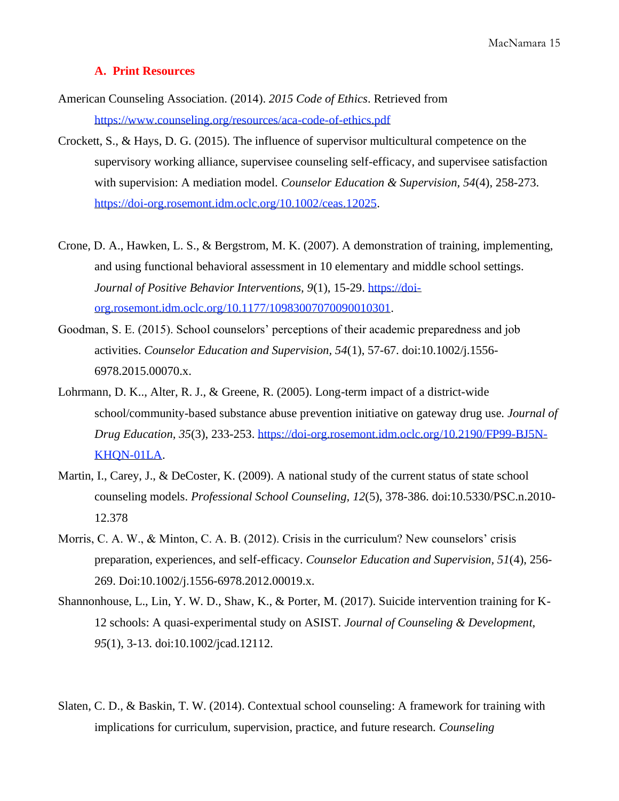#### **A. Print Resources**

- American Counseling Association. (2014). *2015 Code of Ethics*. Retrieved from <https://www.counseling.org/resources/aca-code-of-ethics.pdf>
- Crockett, S., & Hays, D. G. (2015). The influence of supervisor multicultural competence on the supervisory working alliance, supervisee counseling self-efficacy, and supervisee satisfaction with supervision: A mediation model. *Counselor Education & Supervision, 54*(4), 258-273. [https://doi-org.rosemont.idm.oclc.org/10.1002/ceas.12025.](https://doi-org.rosemont.idm.oclc.org/10.1002/ceas.12025)
- Crone, D. A., Hawken, L. S., & Bergstrom, M. K. (2007). A demonstration of training, implementing, and using functional behavioral assessment in 10 elementary and middle school settings. *Journal of Positive Behavior Interventions, 9*(1), 15-29. [https://doi](https://doi-org.rosemont.idm.oclc.org/10.1177/10983007070090010301)[org.rosemont.idm.oclc.org/10.1177/10983007070090010301.](https://doi-org.rosemont.idm.oclc.org/10.1177/10983007070090010301)
- Goodman, S. E. (2015). School counselors' perceptions of their academic preparedness and job activities. *Counselor Education and Supervision, 54*(1), 57-67. doi:10.1002/j.1556- 6978.2015.00070.x.
- Lohrmann, D. K.., Alter, R. J., & Greene, R. (2005). Long-term impact of a district-wide school/community-based substance abuse prevention initiative on gateway drug use. *Journal of Drug Education, 35*(3), 233-253. [https://doi-org.rosemont.idm.oclc.org/10.2190/FP99-BJ5N-](https://doi-org.rosemont.idm.oclc.org/10.2190/FP99-BJ5N-KHQN-01LA)[KHQN-01LA.](https://doi-org.rosemont.idm.oclc.org/10.2190/FP99-BJ5N-KHQN-01LA)
- Martin, I., Carey, J., & DeCoster, K. (2009). A national study of the current status of state school counseling models. *Professional School Counseling, 12*(5), 378-386. doi:10.5330/PSC.n.2010- 12.378
- Morris, C. A. W., & Minton, C. A. B. (2012). Crisis in the curriculum? New counselors' crisis preparation, experiences, and self-efficacy. *Counselor Education and Supervision, 51*(4), 256- 269. Doi:10.1002/j.1556-6978.2012.00019.x.
- Shannonhouse, L., Lin, Y. W. D., Shaw, K., & Porter, M. (2017). Suicide intervention training for K-12 schools: A quasi-experimental study on ASIST*. Journal of Counseling & Development, 95*(1), 3-13. doi:10.1002/jcad.12112.
- Slaten, C. D., & Baskin, T. W. (2014). Contextual school counseling: A framework for training with implications for curriculum, supervision, practice, and future research. *Counseling*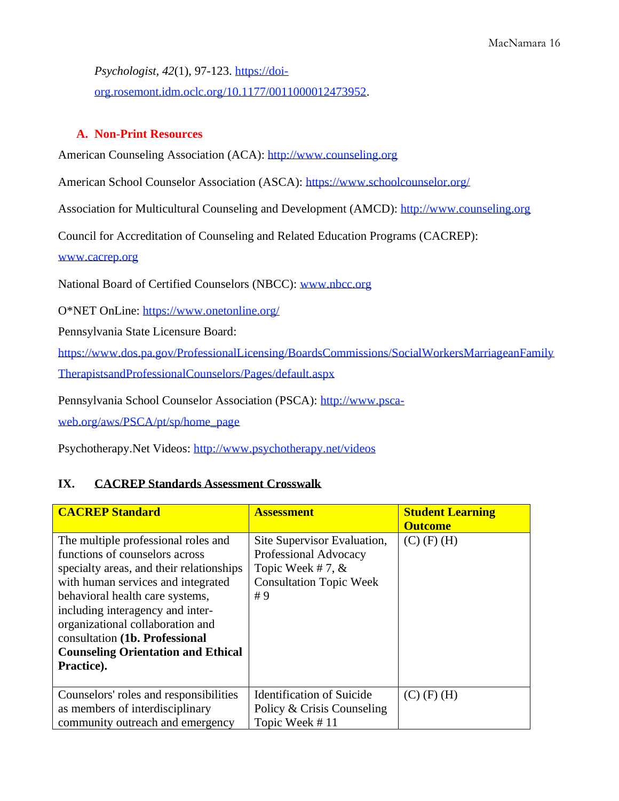*Psychologist, 42*(1), 97-123. [https://doi-](https://doi-org.rosemont.idm.oclc.org/10.1177/0011000012473952)

[org.rosemont.idm.oclc.org/10.1177/0011000012473952.](https://doi-org.rosemont.idm.oclc.org/10.1177/0011000012473952)

### **A. Non-Print Resources**

American Counseling Association (ACA): [http://www.counseling.org](http://www.counseling.org/)

American School Counselor Association (ASCA): <https://www.schoolcounselor.org/>

Association for Multicultural Counseling and Development (AMCD): [http://www.counseling.org](http://www.counseling.org/)

Council for Accreditation of Counseling and Related Education Programs (CACREP):

[www.cacrep.org](http://www.cacrep.org/)

National Board of Certified Counselors (NBCC): [www.nbcc.org](http://www.nbcc.org/)

O\*NET OnLine:<https://www.onetonline.org/>

Pennsylvania State Licensure Board:

[https://www.dos.pa.gov/ProfessionalLicensing/BoardsCommissions/SocialWorkersMarriageanFamily](https://www.dos.pa.gov/ProfessionalLicensing/BoardsCommissions/SocialWorkersMarriageanFamilyTherapistsandProfessionalCounselors/Pages/default.aspx)

[TherapistsandProfessionalCounselors/Pages/default.aspx](https://www.dos.pa.gov/ProfessionalLicensing/BoardsCommissions/SocialWorkersMarriageanFamilyTherapistsandProfessionalCounselors/Pages/default.aspx)

Pennsylvania School Counselor Association (PSCA): [http://www.psca-](http://www.psca-web.org/aws/PSCA/pt/sp/home_page)

[web.org/aws/PSCA/pt/sp/home\\_page](http://www.psca-web.org/aws/PSCA/pt/sp/home_page)

Psychotherapy.Net Videos:<http://www.psychotherapy.net/videos>

# **IX. CACREP Standards Assessment Crosswalk**

| <b>CACREP Standard</b>                                                                                                                                                                                                                                                                                                                                          | <b>Assessment</b>                                                                                                  | <b>Student Learning</b><br><b>Outcome</b> |
|-----------------------------------------------------------------------------------------------------------------------------------------------------------------------------------------------------------------------------------------------------------------------------------------------------------------------------------------------------------------|--------------------------------------------------------------------------------------------------------------------|-------------------------------------------|
| The multiple professional roles and<br>functions of counselors across<br>specialty areas, and their relationships<br>with human services and integrated<br>behavioral health care systems,<br>including interagency and inter-<br>organizational collaboration and<br>consultation (1b. Professional<br><b>Counseling Orientation and Ethical</b><br>Practice). | Site Supervisor Evaluation,<br>Professional Advocacy<br>Topic Week #7, $&$<br><b>Consultation Topic Week</b><br>#9 | $(C)$ (F) (H)                             |
| Counselors' roles and responsibilities                                                                                                                                                                                                                                                                                                                          | <b>Identification of Suicide</b>                                                                                   | $(C)$ (F) (H)                             |
| as members of interdisciplinary                                                                                                                                                                                                                                                                                                                                 | Policy & Crisis Counseling                                                                                         |                                           |
| community outreach and emergency                                                                                                                                                                                                                                                                                                                                | Topic Week #11                                                                                                     |                                           |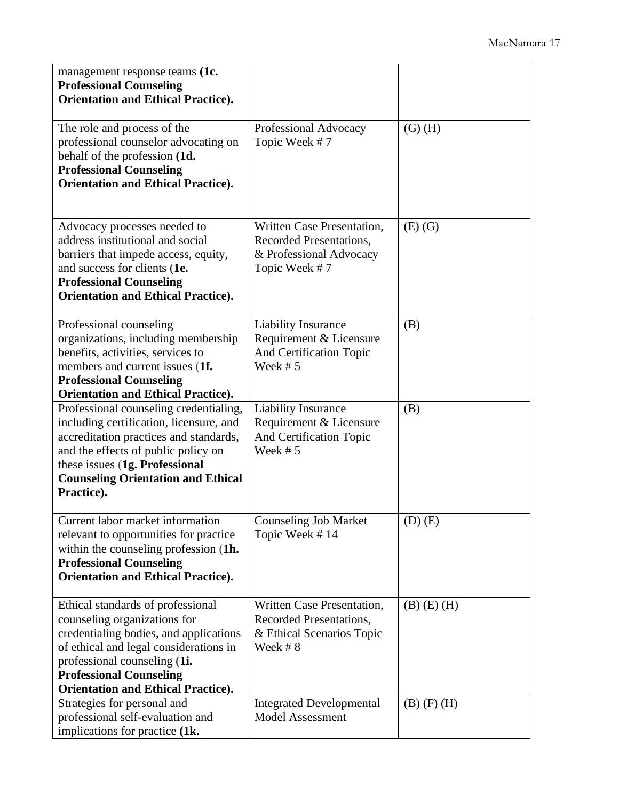| management response teams (1c.<br><b>Professional Counseling</b><br><b>Orientation and Ethical Practice).</b>                                                                                                                                                        |                                                                                                   |                   |
|----------------------------------------------------------------------------------------------------------------------------------------------------------------------------------------------------------------------------------------------------------------------|---------------------------------------------------------------------------------------------------|-------------------|
| The role and process of the<br>professional counselor advocating on<br>behalf of the profession (1d.<br><b>Professional Counseling</b><br><b>Orientation and Ethical Practice).</b>                                                                                  | Professional Advocacy<br>Topic Week #7                                                            | $(G)$ $(H)$       |
| Advocacy processes needed to<br>address institutional and social<br>barriers that impede access, equity,<br>and success for clients (1e.<br><b>Professional Counseling</b><br><b>Orientation and Ethical Practice).</b>                                              | Written Case Presentation,<br>Recorded Presentations,<br>& Professional Advocacy<br>Topic Week #7 | $(E)$ $(G)$       |
| Professional counseling<br>organizations, including membership<br>benefits, activities, services to<br>members and current issues (1f.<br><b>Professional Counseling</b><br><b>Orientation and Ethical Practice).</b>                                                | <b>Liability Insurance</b><br>Requirement & Licensure<br>And Certification Topic<br>Week $# 5$    | (B)               |
| Professional counseling credentialing,<br>including certification, licensure, and<br>accreditation practices and standards,<br>and the effects of public policy on<br>these issues (1g. Professional<br><b>Counseling Orientation and Ethical</b><br>Practice).      | <b>Liability Insurance</b><br>Requirement & Licensure<br>And Certification Topic<br>Week $# 5$    | (B)               |
| Current labor market information<br>relevant to opportunities for practice<br>within the counseling profession (1h.<br><b>Professional Counseling</b><br><b>Orientation and Ethical Practice).</b>                                                                   | <b>Counseling Job Market</b><br>Topic Week #14                                                    | $(D)$ $(E)$       |
| Ethical standards of professional<br>counseling organizations for<br>credentialing bodies, and applications<br>of ethical and legal considerations in<br>professional counseling (1i.<br><b>Professional Counseling</b><br><b>Orientation and Ethical Practice).</b> | Written Case Presentation,<br>Recorded Presentations,<br>& Ethical Scenarios Topic<br>Week #8     | $(B)$ $(E)$ $(H)$ |
| Strategies for personal and<br>professional self-evaluation and<br>implications for practice (1k.                                                                                                                                                                    | <b>Integrated Developmental</b><br><b>Model Assessment</b>                                        | $(B)$ $(F)$ $(H)$ |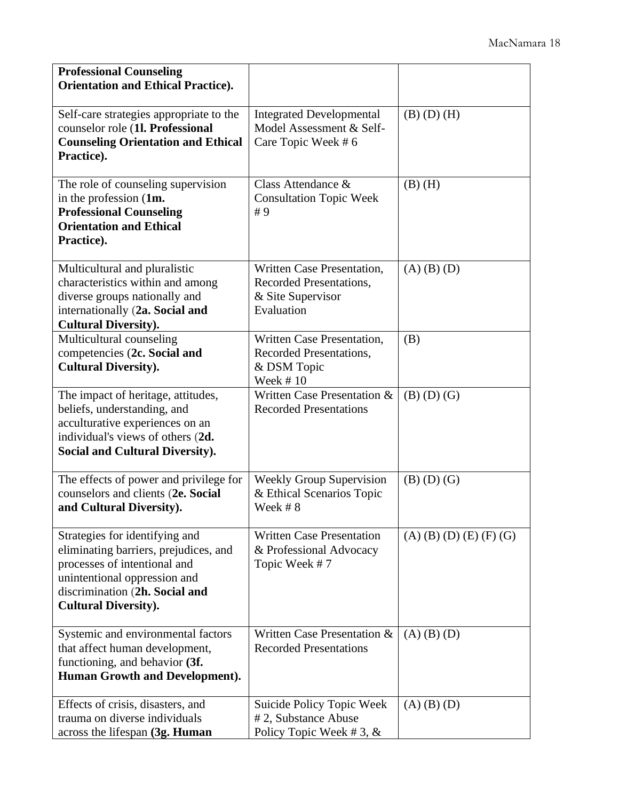| <b>Professional Counseling</b>                                                                                                                                                                           |                                                                                          |                           |
|----------------------------------------------------------------------------------------------------------------------------------------------------------------------------------------------------------|------------------------------------------------------------------------------------------|---------------------------|
| <b>Orientation and Ethical Practice).</b>                                                                                                                                                                |                                                                                          |                           |
| Self-care strategies appropriate to the<br>counselor role (1l. Professional<br><b>Counseling Orientation and Ethical</b><br>Practice).                                                                   | <b>Integrated Developmental</b><br>Model Assessment & Self-<br>Care Topic Week #6        | $(B)$ $(D)$ $(H)$         |
| The role of counseling supervision<br>in the profession (1m.<br><b>Professional Counseling</b><br><b>Orientation and Ethical</b><br>Practice).                                                           | Class Attendance &<br><b>Consultation Topic Week</b><br>#9                               | $(B)$ $(H)$               |
| Multicultural and pluralistic<br>characteristics within and among<br>diverse groups nationally and<br>internationally (2a. Social and<br><b>Cultural Diversity).</b>                                     | Written Case Presentation,<br>Recorded Presentations,<br>& Site Supervisor<br>Evaluation | $(A)$ $(B)$ $(D)$         |
| Multicultural counseling<br>competencies (2c. Social and<br><b>Cultural Diversity).</b>                                                                                                                  | Written Case Presentation,<br>Recorded Presentations,<br>& DSM Topic<br>Week $#10$       | (B)                       |
| The impact of heritage, attitudes,<br>beliefs, understanding, and<br>acculturative experiences on an<br>individual's views of others (2d.<br><b>Social and Cultural Diversity).</b>                      | Written Case Presentation &<br><b>Recorded Presentations</b>                             | $(B)$ $(D)$ $(G)$         |
| The effects of power and privilege for<br>counselors and clients (2e. Social<br>and Cultural Diversity).                                                                                                 | <b>Weekly Group Supervision</b><br>& Ethical Scenarios Topic<br>Week #8                  | $(B)$ $(D)$ $(G)$         |
| Strategies for identifying and<br>eliminating barriers, prejudices, and<br>processes of intentional and<br>unintentional oppression and<br>discrimination (2h. Social and<br><b>Cultural Diversity).</b> | <b>Written Case Presentation</b><br>& Professional Advocacy<br>Topic Week #7             | $(A)$ (B) (D) (E) (F) (G) |
| Systemic and environmental factors<br>that affect human development,<br>functioning, and behavior (3f.<br><b>Human Growth and Development).</b>                                                          | Written Case Presentation &<br><b>Recorded Presentations</b>                             | $(A)$ $(B)$ $(D)$         |
| Effects of crisis, disasters, and<br>trauma on diverse individuals<br>across the lifespan (3g. Human                                                                                                     | Suicide Policy Topic Week<br>#2, Substance Abuse<br>Policy Topic Week #3, $&$            | $(A)$ $(B)$ $(D)$         |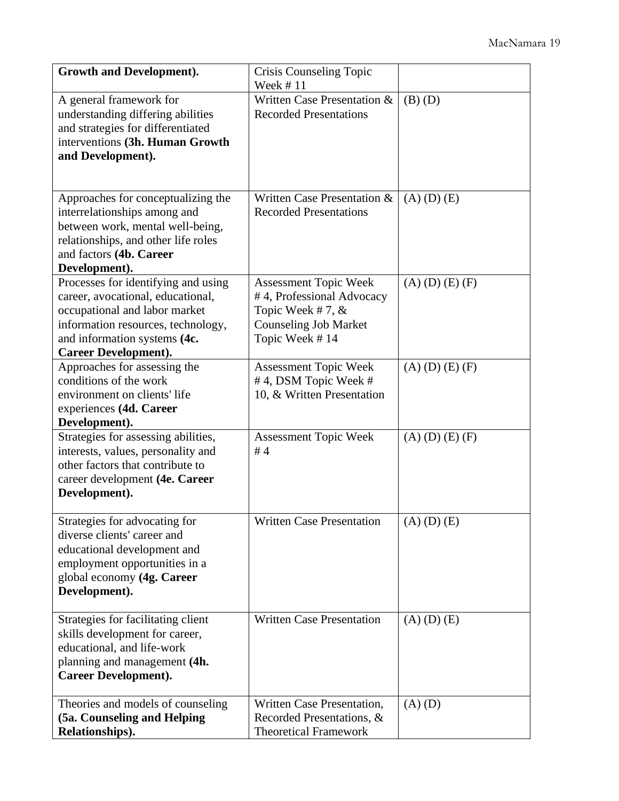| <b>Growth and Development).</b>                                                                                                                                                                                | Crisis Counseling Topic<br>Week #11                                                                                               |                     |
|----------------------------------------------------------------------------------------------------------------------------------------------------------------------------------------------------------------|-----------------------------------------------------------------------------------------------------------------------------------|---------------------|
| A general framework for<br>understanding differing abilities<br>and strategies for differentiated<br>interventions (3h. Human Growth<br>and Development).                                                      | Written Case Presentation &<br><b>Recorded Presentations</b>                                                                      | $(B)$ $(D)$         |
| Approaches for conceptualizing the<br>interrelationships among and<br>between work, mental well-being,<br>relationships, and other life roles<br>and factors (4b. Career<br>Development).                      | Written Case Presentation &<br><b>Recorded Presentations</b>                                                                      | $(A)$ $(D)$ $(E)$   |
| Processes for identifying and using<br>career, avocational, educational,<br>occupational and labor market<br>information resources, technology,<br>and information systems (4c.<br><b>Career Development).</b> | <b>Assessment Topic Week</b><br>#4, Professional Advocacy<br>Topic Week #7, $&$<br><b>Counseling Job Market</b><br>Topic Week #14 | $(A)$ (D) (E) (F)   |
| Approaches for assessing the<br>conditions of the work<br>environment on clients' life<br>experiences (4d. Career<br>Development).                                                                             | <b>Assessment Topic Week</b><br>#4, DSM Topic Week #<br>10, & Written Presentation                                                | $(A)$ (D) $(E)$ (F) |
| Strategies for assessing abilities,<br>interests, values, personality and<br>other factors that contribute to<br>career development (4e. Career<br>Development).                                               | <b>Assessment Topic Week</b><br>#4                                                                                                | $(A)$ (D) (E) (F)   |
| Strategies for advocating for<br>diverse clients' career and<br>educational development and<br>employment opportunities in a<br>global economy (4g. Career<br>Development).                                    | <b>Written Case Presentation</b>                                                                                                  | $(A)$ $(D)$ $(E)$   |
| Strategies for facilitating client<br>skills development for career,<br>educational, and life-work<br>planning and management (4h.<br><b>Career Development).</b>                                              | <b>Written Case Presentation</b>                                                                                                  | $(A)$ $(D)$ $(E)$   |
| Theories and models of counseling<br>(5a. Counseling and Helping<br>Relationships).                                                                                                                            | Written Case Presentation,<br>Recorded Presentations, &<br><b>Theoretical Framework</b>                                           | $(A)$ $(D)$         |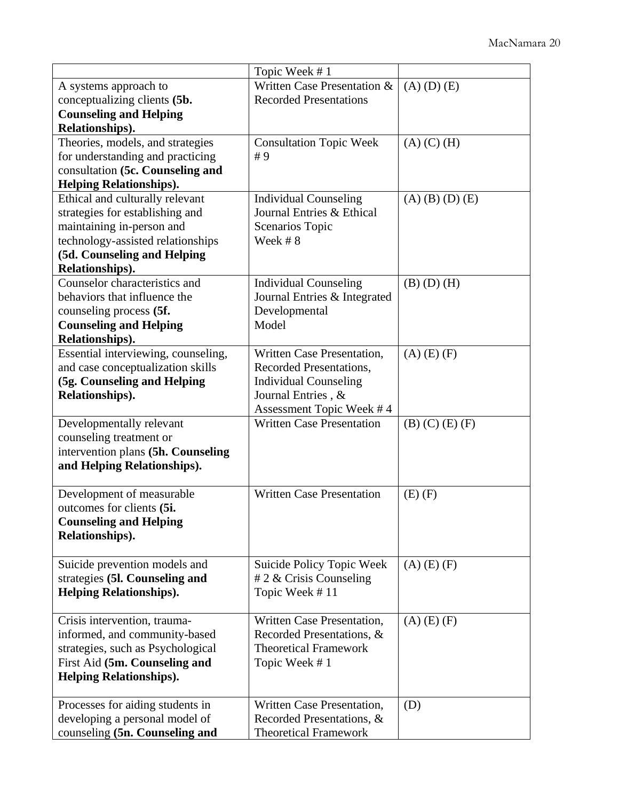|                                                                                                                                                                                        | Topic Week #1                                                                                                                           |                     |
|----------------------------------------------------------------------------------------------------------------------------------------------------------------------------------------|-----------------------------------------------------------------------------------------------------------------------------------------|---------------------|
| A systems approach to<br>conceptualizing clients (5b.<br><b>Counseling and Helping</b><br>Relationships).                                                                              | Written Case Presentation &<br><b>Recorded Presentations</b>                                                                            | $(A)$ $(D)$ $(E)$   |
| Theories, models, and strategies<br>for understanding and practicing<br>consultation (5c. Counseling and<br><b>Helping Relationships).</b>                                             | <b>Consultation Topic Week</b><br>#9                                                                                                    | $(A)$ $(C)$ $(H)$   |
| Ethical and culturally relevant<br>strategies for establishing and<br>maintaining in-person and<br>technology-assisted relationships<br>(5d. Counseling and Helping<br>Relationships). | <b>Individual Counseling</b><br>Journal Entries & Ethical<br>Scenarios Topic<br>Week #8                                                 | $(A)$ (B) (D) (E)   |
| Counselor characteristics and<br>behaviors that influence the<br>counseling process (5f.<br><b>Counseling and Helping</b><br>Relationships).                                           | <b>Individual Counseling</b><br>Journal Entries & Integrated<br>Developmental<br>Model                                                  | $(B)$ $(D)$ $(H)$   |
| Essential interviewing, counseling,<br>and case conceptualization skills<br>(5g. Counseling and Helping<br>Relationships).                                                             | Written Case Presentation,<br>Recorded Presentations,<br><b>Individual Counseling</b><br>Journal Entries, &<br>Assessment Topic Week #4 | $(A)$ $(E)$ $(F)$   |
| Developmentally relevant<br>counseling treatment or<br>intervention plans (5h. Counseling<br>and Helping Relationships).                                                               | <b>Written Case Presentation</b>                                                                                                        | $(B)$ (C) $(E)$ (F) |
| Development of measurable<br>outcomes for clients (5i.<br><b>Counseling and Helping</b><br>Relationships).                                                                             | <b>Written Case Presentation</b>                                                                                                        | $(E)$ $(F)$         |
| Suicide prevention models and<br>strategies (51. Counseling and<br><b>Helping Relationships).</b>                                                                                      | Suicide Policy Topic Week<br>$# 2 \&$ Crisis Counseling<br>Topic Week #11                                                               | $(A)$ (E) $(F)$     |
| Crisis intervention, trauma-<br>informed, and community-based<br>strategies, such as Psychological<br>First Aid (5m. Counseling and<br><b>Helping Relationships).</b>                  | Written Case Presentation,<br>Recorded Presentations, &<br><b>Theoretical Framework</b><br>Topic Week #1                                | $(A)$ (E) $(F)$     |
| Processes for aiding students in<br>developing a personal model of<br>counseling (5n. Counseling and                                                                                   | Written Case Presentation,<br>Recorded Presentations, &<br><b>Theoretical Framework</b>                                                 | (D)                 |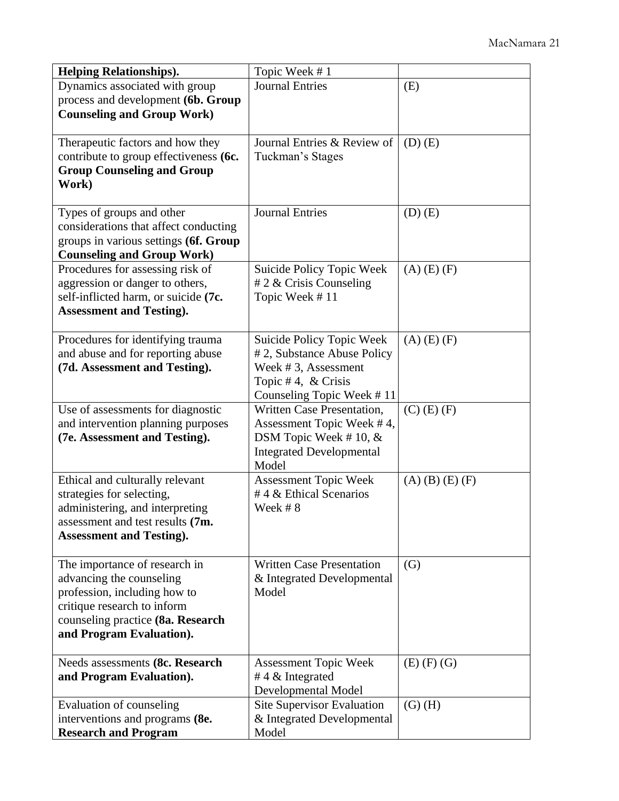| <b>Helping Relationships).</b>             | Topic Week #1                    |                   |
|--------------------------------------------|----------------------------------|-------------------|
| Dynamics associated with group             | <b>Journal Entries</b>           | (E)               |
| process and development (6b. Group         |                                  |                   |
| <b>Counseling and Group Work)</b>          |                                  |                   |
|                                            |                                  |                   |
| Therapeutic factors and how they           | Journal Entries & Review of      | $(D)$ $(E)$       |
| contribute to group effectiveness (6c.     | Tuckman's Stages                 |                   |
| <b>Group Counseling and Group</b><br>Work) |                                  |                   |
|                                            |                                  |                   |
| Types of groups and other                  | <b>Journal Entries</b>           | $(D)$ $(E)$       |
| considerations that affect conducting      |                                  |                   |
| groups in various settings (6f. Group      |                                  |                   |
| <b>Counseling and Group Work)</b>          |                                  |                   |
| Procedures for assessing risk of           | Suicide Policy Topic Week        | $(A)$ $(E)$ $(F)$ |
| aggression or danger to others,            | # 2 $\&$ Crisis Counseling       |                   |
| self-inflicted harm, or suicide (7c.       | Topic Week #11                   |                   |
| <b>Assessment and Testing).</b>            |                                  |                   |
| Procedures for identifying trauma          | Suicide Policy Topic Week        | $(A)$ $(E)$ $(F)$ |
| and abuse and for reporting abuse          | #2, Substance Abuse Policy       |                   |
| (7d. Assessment and Testing).              | Week #3, Assessment              |                   |
|                                            | Topic #4, $&$ Crisis             |                   |
|                                            | Counseling Topic Week #11        |                   |
| Use of assessments for diagnostic          | Written Case Presentation,       | $(C)$ (E) $(F)$   |
| and intervention planning purposes         | Assessment Topic Week #4,        |                   |
| (7e. Assessment and Testing).              | DSM Topic Week #10, $&$          |                   |
|                                            | <b>Integrated Developmental</b>  |                   |
|                                            | Model                            |                   |
| Ethical and culturally relevant            | <b>Assessment Topic Week</b>     | $(A)$ (B) (E) (F) |
| strategies for selecting,                  | #4 & Ethical Scenarios           |                   |
| administering, and interpreting            | Week #8                          |                   |
| assessment and test results (7m.           |                                  |                   |
| <b>Assessment and Testing).</b>            |                                  |                   |
| The importance of research in              | <b>Written Case Presentation</b> | (G)               |
| advancing the counseling                   | & Integrated Developmental       |                   |
| profession, including how to               | Model                            |                   |
| critique research to inform                |                                  |                   |
| counseling practice (8a. Research          |                                  |                   |
| and Program Evaluation).                   |                                  |                   |
| Needs assessments (8c. Research            | <b>Assessment Topic Week</b>     | $(E)$ $(F)$ $(G)$ |
| and Program Evaluation).                   | #4 $\&$ Integrated               |                   |
|                                            | Developmental Model              |                   |
| Evaluation of counseling                   | Site Supervisor Evaluation       | $(G)$ $(H)$       |
| interventions and programs (8e.            | & Integrated Developmental       |                   |
| <b>Research and Program</b>                | Model                            |                   |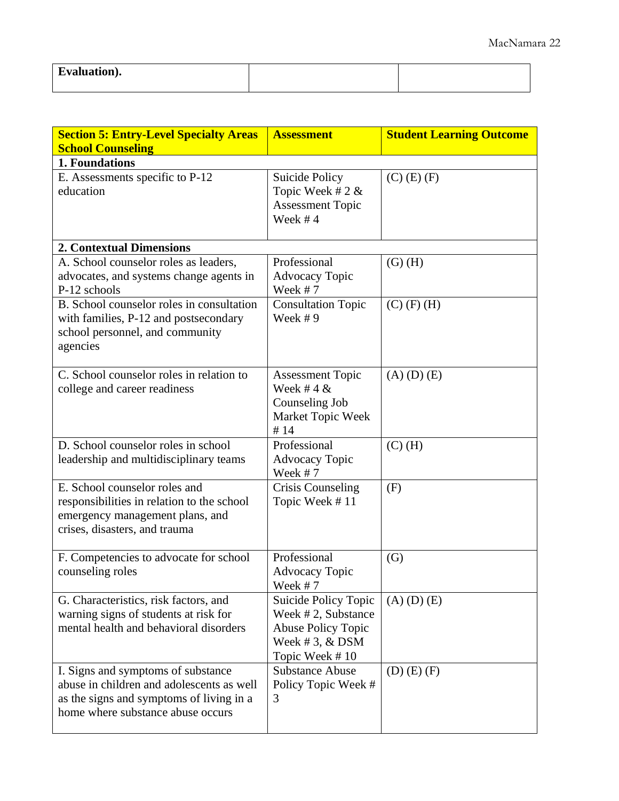| Evaluation). |  |
|--------------|--|
|              |  |

| <b>Section 5: Entry-Level Specialty Areas</b><br><b>School Counseling</b>                                                                                        | <b>Assessment</b>                                                                                              | <b>Student Learning Outcome</b> |
|------------------------------------------------------------------------------------------------------------------------------------------------------------------|----------------------------------------------------------------------------------------------------------------|---------------------------------|
| 1. Foundations                                                                                                                                                   |                                                                                                                |                                 |
| E. Assessments specific to P-12<br>education                                                                                                                     | <b>Suicide Policy</b><br>Topic Week # $2 &$<br><b>Assessment Topic</b><br>Week $#4$                            | $(C)$ $(E)$ $(F)$               |
| <b>2. Contextual Dimensions</b>                                                                                                                                  |                                                                                                                |                                 |
| A. School counselor roles as leaders,<br>advocates, and systems change agents in<br>P-12 schools                                                                 | Professional<br><b>Advocacy Topic</b><br>Week $# 7$                                                            | $(G)$ $(H)$                     |
| B. School counselor roles in consultation<br>with families, P-12 and postsecondary<br>school personnel, and community<br>agencies                                | <b>Consultation Topic</b><br>Week $# 9$                                                                        | $(C)$ (F) (H)                   |
| C. School counselor roles in relation to<br>college and career readiness                                                                                         | <b>Assessment Topic</b><br>Week #4 $\&$<br>Counseling Job<br>Market Topic Week<br>#14                          | $(A)$ $(D)$ $(E)$               |
| D. School counselor roles in school<br>leadership and multidisciplinary teams                                                                                    | Professional<br><b>Advocacy Topic</b><br>Week $# 7$                                                            | $(C)$ (H)                       |
| E. School counselor roles and<br>responsibilities in relation to the school<br>emergency management plans, and<br>crises, disasters, and trauma                  | <b>Crisis Counseling</b><br>Topic Week #11                                                                     | (F)                             |
| F. Competencies to advocate for school<br>counseling roles                                                                                                       | Professional<br>Advocacy Topic<br>Week #7                                                                      | (G)                             |
| G. Characteristics, risk factors, and<br>warning signs of students at risk for<br>mental health and behavioral disorders                                         | Suicide Policy Topic<br>Week #2, Substance<br><b>Abuse Policy Topic</b><br>Week # 3, $&$ DSM<br>Topic Week #10 | $(A)$ $(D)$ $(E)$               |
| I. Signs and symptoms of substance<br>abuse in children and adolescents as well<br>as the signs and symptoms of living in a<br>home where substance abuse occurs | <b>Substance Abuse</b><br>Policy Topic Week #<br>3                                                             | $(D)$ $(E)$ $(F)$               |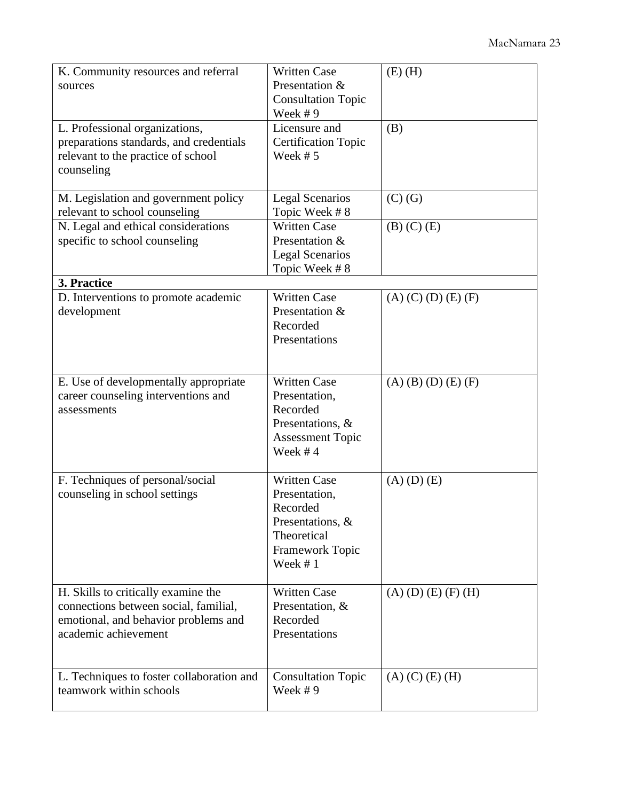| K. Community resources and referral<br>sources<br>L. Professional organizations,<br>preparations standards, and credentials<br>relevant to the practice of school<br>counseling | <b>Written Case</b><br>Presentation &<br><b>Consultation Topic</b><br>Week #9<br>Licensure and<br><b>Certification Topic</b><br>Week $# 5$ | $(E)$ (H)<br>(B)                 |
|---------------------------------------------------------------------------------------------------------------------------------------------------------------------------------|--------------------------------------------------------------------------------------------------------------------------------------------|----------------------------------|
| M. Legislation and government policy<br>relevant to school counseling<br>N. Legal and ethical considerations                                                                    | <b>Legal Scenarios</b><br>Topic Week #8<br><b>Written Case</b>                                                                             | $(C)$ $(G)$<br>$(B)$ $(C)$ $(E)$ |
| specific to school counseling<br>3. Practice                                                                                                                                    | Presentation &<br><b>Legal Scenarios</b><br>Topic Week #8                                                                                  |                                  |
| D. Interventions to promote academic<br>development                                                                                                                             | <b>Written Case</b><br>Presentation &<br>Recorded<br>Presentations                                                                         | $(A)$ (C) (D) (E) (F)            |
| E. Use of developmentally appropriate<br>career counseling interventions and<br>assessments                                                                                     | <b>Written Case</b><br>Presentation,<br>Recorded<br>Presentations, &<br><b>Assessment Topic</b><br>Week $#4$                               | $(A)$ (B) (D) (E) (F)            |
| F. Techniques of personal/social<br>counseling in school settings                                                                                                               | <b>Written Case</b><br>Presentation,<br>Recorded<br>Presentations, &<br>Theoretical<br>Framework Topic<br>Week #1                          | $(A)$ $(D)$ $(E)$                |
| H. Skills to critically examine the<br>connections between social, familial,<br>emotional, and behavior problems and<br>academic achievement                                    | <b>Written Case</b><br>Presentation, &<br>Recorded<br>Presentations                                                                        | $(A)$ (D) (E) (F) (H)            |
| L. Techniques to foster collaboration and<br>teamwork within schools                                                                                                            | <b>Consultation Topic</b><br>Week $# 9$                                                                                                    | $(A)$ (C) $(E)$ (H)              |